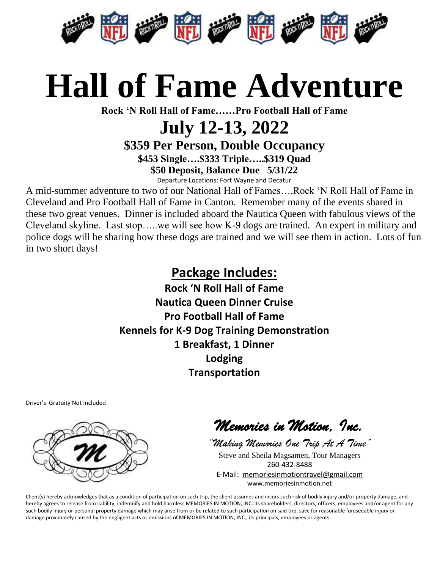

### **Hall of Fame Adventure**

**Rock 'N Roll Hall of Fame……Pro Football Hall of Fame**

### **July 12-13, 2022**

**\$359 Per Person, Double Occupancy**

**\$453 Single….\$333 Triple…..\$319 Quad \$50 Deposit, Balance Due 5/31/22**

Departure Locations: Fort Wayne and Decatur

A mid-summer adventure to two of our National Hall of Fames….Rock 'N Roll Hall of Fame in Cleveland and Pro Football Hall of Fame in Canton. Remember many of the events shared in these two great venues. Dinner is included aboard the Nautica Queen with fabulous views of the Cleveland skyline. Last stop…..we will see how K-9 dogs are trained. An expert in military and police dogs will be sharing how these dogs are trained and we will see them in action. Lots of fun in two short days!

#### **Package Includes:**

**Rock 'N Roll Hall of Fame Nautica Queen Dinner Cruise Pro Football Hall of Fame Kennels for K-9 Dog Training Demonstration 1 Breakfast, 1 Dinner Lodging Transportation**

Driver's Gratuity Not Included



*Memories in Motion, Inc.* 

*"Making Memories One Trip At A Time"* Steve and Sheila Magsamen, Tour Managers 260-432-8488 E-Mail: [memoriesinmotiontravel@gmail.com](mailto:memoriesinmotiontravel@gmail.com) www.memoriesinmotion.net

Client(s) hereby acknowledges that as a condition of participation on such trip, the client assumes and incurs such risk of bodily injury and/or property damage, and hereby agrees to release from liability, indemnify and hold harmless MEMORIES IN MOTION, INC. its shareholders, directors, officers, employees and/or agent for any such bodily injury or personal property damage which may arise from or be related to such participation on said trip, save for reasonable foreseeable injury or damage proximately caused by the negligent acts or omissions of MEMORIES IN MOTION, INC., its principals, employees or agents.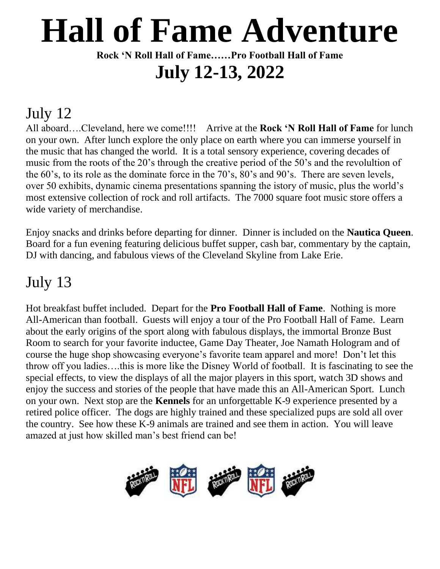# **Hall of Fame Adventure**

**Rock 'N Roll Hall of Fame……Pro Football Hall of Fame July 12-13, 2022**

### July 12

All aboard….Cleveland, here we come!!!! Arrive at the **Rock 'N Roll Hall of Fame** for lunch on your own. After lunch explore the only place on earth where you can immerse yourself in the music that has changed the world. It is a total sensory experience, covering decades of music from the roots of the 20's through the creative period of the 50's and the revolultion of the 60's, to its role as the dominate force in the 70's, 80's and 90's. There are seven levels, over 50 exhibits, dynamic cinema presentations spanning the istory of music, plus the world's most extensive collection of rock and roll artifacts. The 7000 square foot music store offers a wide variety of merchandise.

Enjoy snacks and drinks before departing for dinner. Dinner is included on the **Nautica Queen**. Board for a fun evening featuring delicious buffet supper, cash bar, commentary by the captain, DJ with dancing, and fabulous views of the Cleveland Skyline from Lake Erie.

#### July 13

Hot breakfast buffet included. Depart for the **Pro Football Hall of Fame**. Nothing is more All-American than football. Guests will enjoy a tour of the Pro Football Hall of Fame. Learn about the early origins of the sport along with fabulous displays, the immortal Bronze Bust Room to search for your favorite inductee, Game Day Theater, Joe Namath Hologram and of course the huge shop showcasing everyone's favorite team apparel and more! Don't let this throw off you ladies….this is more like the Disney World of football. It is fascinating to see the special effects, to view the displays of all the major players in this sport, watch 3D shows and enjoy the success and stories of the people that have made this an All-American Sport. Lunch on your own. Next stop are the **Kennels** for an unforgettable K-9 experience presented by a retired police officer. The dogs are highly trained and these specialized pups are sold all over the country. See how these K-9 animals are trained and see them in action. You will leave amazed at just how skilled man's best friend can be!